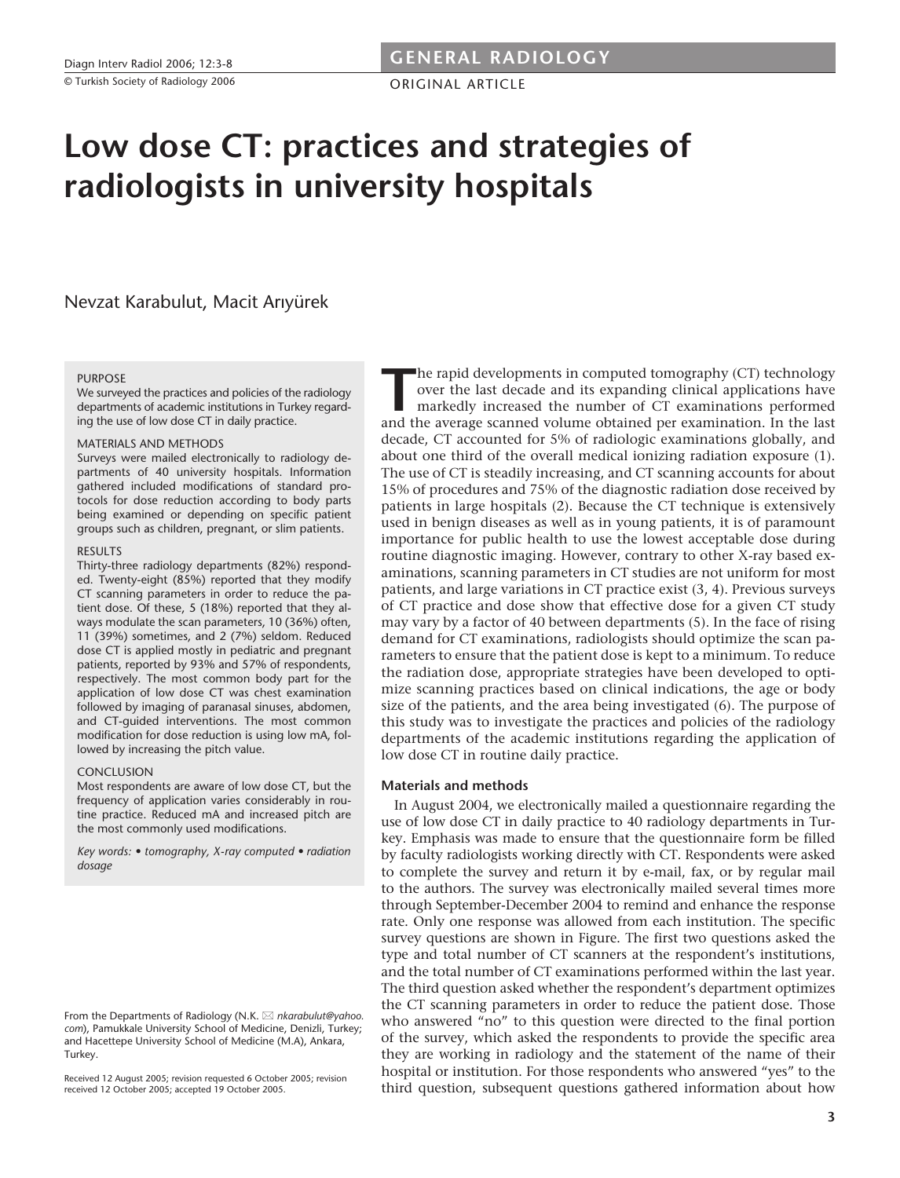ORIGINAL ARTICLE

# **Low dose CT: practices and strategies of radiologists in university hospitals**

Nevzat Karabulut, Macit Arıyürek

#### **PURPOSE**

We surveyed the practices and policies of the radiology departments of academic institutions in Turkey regarding the use of low dose CT in daily practice.

#### MATERIALS AND METHODS

Surveys were mailed electronically to radiology departments of 40 university hospitals. Information gathered included modifications of standard protocols for dose reduction according to body parts being examined or depending on specific patient groups such as children, pregnant, or slim patients.

#### **RESULTS**

Thirty-three radiology departments (82%) responded. Twenty-eight (85%) reported that they modify CT scanning parameters in order to reduce the patient dose. Of these, 5 (18%) reported that they always modulate the scan parameters, 10 (36%) often, 11 (39%) sometimes, and 2 (7%) seldom. Reduced dose CT is applied mostly in pediatric and pregnant patients, reported by 93% and 57% of respondents, respectively. The most common body part for the application of low dose CT was chest examination followed by imaging of paranasal sinuses, abdomen, and CT-guided interventions. The most common modification for dose reduction is using low mA, followed by increasing the pitch value.

## CONCLUSION

Most respondents are aware of low dose CT, but the frequency of application varies considerably in routine practice. Reduced mA and increased pitch are the most commonly used modifications.

*Key words: • tomography, X-ray computed • radiation dosage*

From the Departments of Radiology (N.K.  $\boxtimes$  nkarabulut@yahoo. *com*), Pamukkale University School of Medicine, Denizli, Turkey; and Hacettepe University School of Medicine (M.A), Ankara, Turkey.

Received 12 August 2005; revision requested 6 October 2005; revision received 12 October 2005; accepted 19 October 2005.

The rapid developments in computed tomography (CT) technology<br>over the last decade and its expanding clinical applications have<br>markedly increased the number of CT examinations performed<br>and the average scanned volume obta over the last decade and its expanding clinical applications have markedly increased the number of CT examinations performed and the average scanned volume obtained per examination. In the last decade, CT accounted for 5% of radiologic examinations globally, and about one third of the overall medical ionizing radiation exposure (1). The use of CT is steadily increasing, and CT scanning accounts for about 15% of procedures and 75% of the diagnostic radiation dose received by patients in large hospitals (2). Because the CT technique is extensively used in benign diseases as well as in young patients, it is of paramount importance for public health to use the lowest acceptable dose during routine diagnostic imaging. However, contrary to other X-ray based examinations, scanning parameters in CT studies are not uniform for most patients, and large variations in CT practice exist (3, 4). Previous surveys of CT practice and dose show that effective dose for a given CT study may vary by a factor of 40 between departments (5). In the face of rising demand for CT examinations, radiologists should optimize the scan parameters to ensure that the patient dose is kept to a minimum. To reduce the radiation dose, appropriate strategies have been developed to optimize scanning practices based on clinical indications, the age or body size of the patients, and the area being investigated (6). The purpose of this study was to investigate the practices and policies of the radiology departments of the academic institutions regarding the application of low dose CT in routine daily practice.

## **Materials and methods**

In August 2004, we electronically mailed a questionnaire regarding the use of low dose CT in daily practice to 40 radiology departments in Turkey. Emphasis was made to ensure that the questionnaire form be filled by faculty radiologists working directly with CT. Respondents were asked to complete the survey and return it by e-mail, fax, or by regular mail to the authors. The survey was electronically mailed several times more through September-December 2004 to remind and enhance the response rate. Only one response was allowed from each institution. The specific survey questions are shown in Figure. The first two questions asked the type and total number of CT scanners at the respondent's institutions, and the total number of CT examinations performed within the last year. The third question asked whether the respondent's department optimizes the CT scanning parameters in order to reduce the patient dose. Those who answered "no" to this question were directed to the final portion of the survey, which asked the respondents to provide the specific area they are working in radiology and the statement of the name of their hospital or institution. For those respondents who answered "yes" to the third question, subsequent questions gathered information about how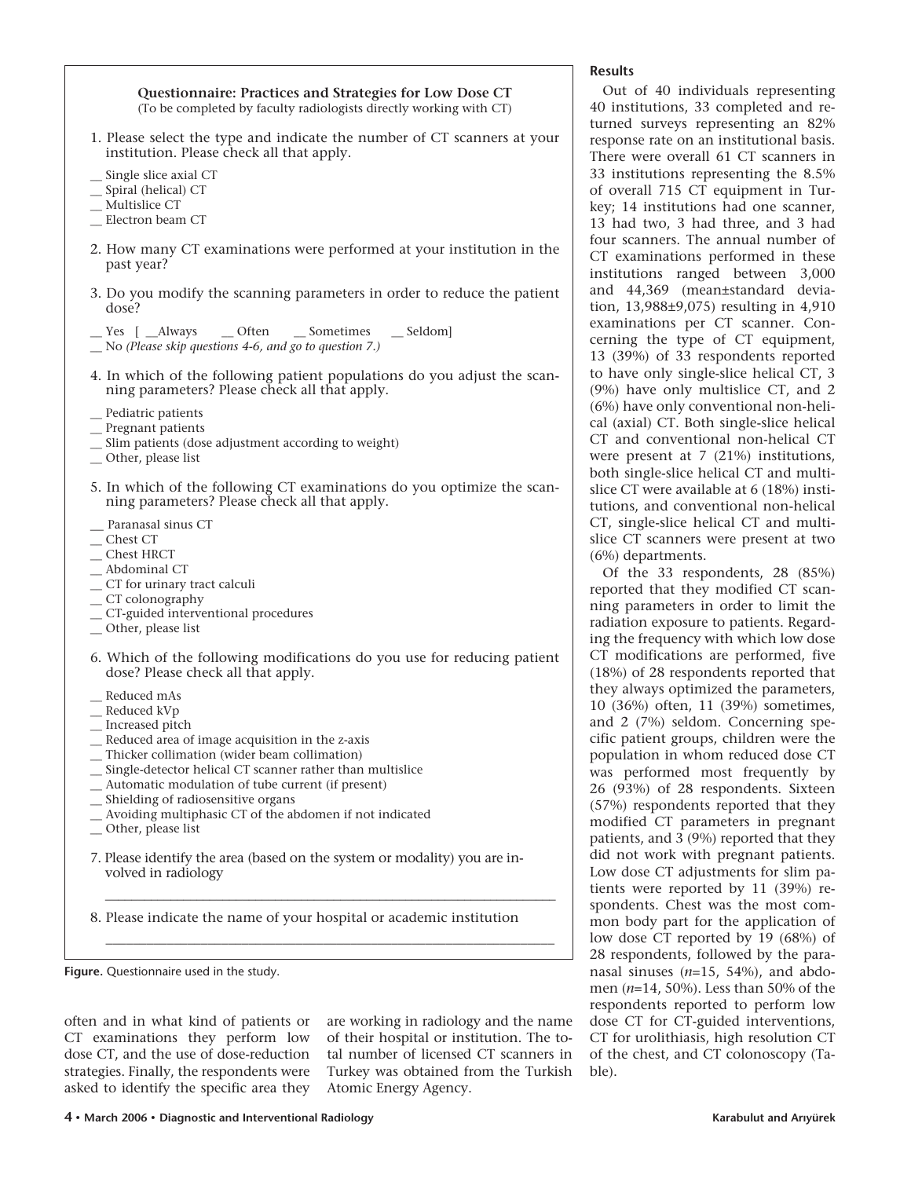**Questionnaire: Practices and Strategies for Low Dose CT**  (To be completed by faculty radiologists directly working with CT)

- 1. Please select the type and indicate the number of CT scanners at your institution. Please check all that apply.
- Single slice axial CT
- \_\_ Spiral (helical) CT
- \_\_ Multislice CT
- \_\_ Electron beam CT
- 2. How many CT examinations were performed at your institution in the past year?
- 3. Do you modify the scanning parameters in order to reduce the patient dose?
- \_\_ Yes [ \_\_Always \_\_ Often \_\_ Sometimes \_\_ Seldom]
- \_\_ No *(Please skip questions 4-6, and go to question 7.)*
- 4. In which of the following patient populations do you adjust the scanning parameters? Please check all that apply.
- Pediatric patients
- \_\_ Pregnant patients
- \_\_ Slim patients (dose adjustment according to weight)
- \_\_ Other, please list
- 5. In which of the following CT examinations do you optimize the scanning parameters? Please check all that apply.
- Paranasal sinus CT
- \_\_ Chest CT
- \_\_ Chest HRCT
- \_\_ Abdominal CT
- \_\_ CT for urinary tract calculi
- \_\_ CT colonography
- \_\_ CT-guided interventional procedures
- \_\_ Other, please list
- 6. Which of the following modifications do you use for reducing patient dose? Please check all that apply.
- \_\_ Reduced mAs
- Reduced kVp
- \_\_ Increased pitch
- \_\_ Reduced area of image acquisition in the z-axis
- \_\_ Thicker collimation (wider beam collimation)
- \_\_ Single-detector helical CT scanner rather than multislice
- \_\_ Automatic modulation of tube current (if present)
- \_\_ Shielding of radiosensitive organs
- \_\_ Avoiding multiphasic CT of the abdomen if not indicated \_\_ Other, please list
- 7. Please identify the area (based on the system or modality) you are in-
- volved in radiology

8. Please indicate the name of your hospital or academic institution

\_\_\_\_\_\_\_\_\_\_\_\_\_\_\_\_\_\_\_\_\_\_\_\_\_\_\_\_\_\_\_\_\_\_\_\_\_\_\_\_\_\_\_\_\_\_\_\_\_\_\_\_\_\_\_\_\_\_\_\_\_\_\_\_\_\_\_\_\_

\_\_\_\_\_\_\_\_\_\_\_\_\_\_\_\_\_\_\_\_\_\_\_\_\_\_\_\_\_\_\_\_\_\_\_\_\_\_\_\_\_\_\_\_\_\_\_\_\_\_\_\_\_\_\_\_\_\_\_\_\_\_\_\_\_\_

**Figure.** Questionnaire used in the study.

often and in what kind of patients or CT examinations they perform low dose CT, and the use of dose-reduction strategies. Finally, the respondents were asked to identify the specific area they

are working in radiology and the name of their hospital or institution. The total number of licensed CT scanners in Turkey was obtained from the Turkish Atomic Energy Agency.

Out of 40 individuals representing 40 institutions, 33 completed and returned surveys representing an 82% response rate on an institutional basis. There were overall 61 CT scanners in 33 institutions representing the 8.5% of overall 715 CT equipment in Turkey; 14 institutions had one scanner, 13 had two, 3 had three, and 3 had four scanners. The annual number of CT examinations performed in these institutions ranged between 3,000 and 44,369 (mean±standard deviation, 13,988±9,075) resulting in 4,910 examinations per CT scanner. Concerning the type of CT equipment, 13 (39%) of 33 respondents reported to have only single-slice helical CT, 3 (9%) have only multislice CT, and 2 (6%) have only conventional non-helical (axial) CT. Both single-slice helical CT and conventional non-helical CT were present at 7 (21%) institutions, both single-slice helical CT and multislice CT were available at 6 (18%) institutions, and conventional non-helical CT, single-slice helical CT and multislice CT scanners were present at two (6%) departments.

Of the 33 respondents, 28 (85%) reported that they modified CT scanning parameters in order to limit the radiation exposure to patients. Regarding the frequency with which low dose CT modifications are performed, five (18%) of 28 respondents reported that they always optimized the parameters, 10 (36%) often, 11 (39%) sometimes, and 2 (7%) seldom. Concerning specific patient groups, children were the population in whom reduced dose CT was performed most frequently by 26 (93%) of 28 respondents. Sixteen (57%) respondents reported that they modified CT parameters in pregnant patients, and 3 (9%) reported that they did not work with pregnant patients. Low dose CT adjustments for slim patients were reported by 11 (39%) respondents. Chest was the most common body part for the application of low dose CT reported by 19 (68%) of 28 respondents, followed by the paranasal sinuses (*n*=15, 54%), and abdomen (*n*=14, 50%). Less than 50% of the respondents reported to perform low dose CT for CT-guided interventions, CT for urolithiasis, high resolution CT of the chest, and CT colonoscopy (Table).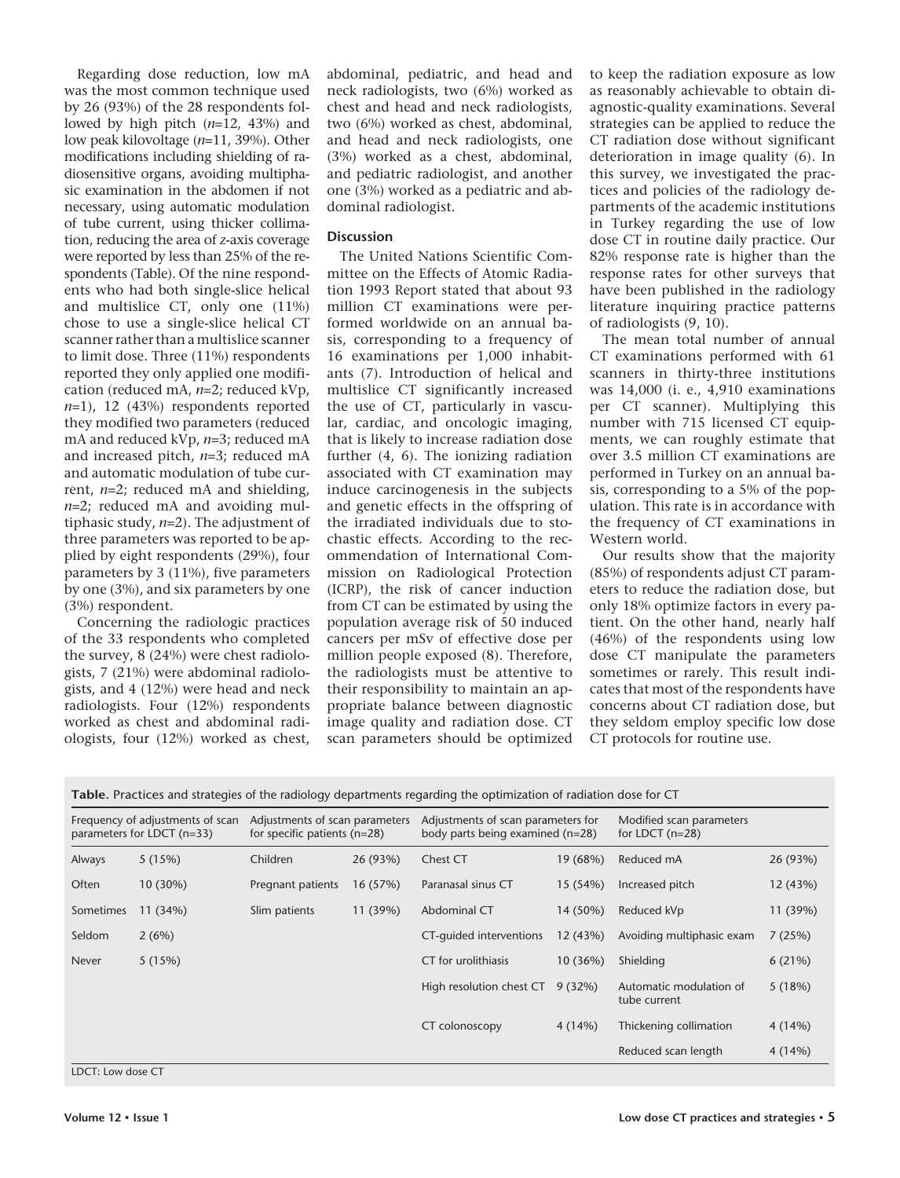Regarding dose reduction, low mA was the most common technique used by 26 (93%) of the 28 respondents followed by high pitch (*n*=12, 43%) and low peak kilovoltage (*n*=11, 39%). Other modifications including shielding of radiosensitive organs, avoiding multiphasic examination in the abdomen if not necessary, using automatic modulation of tube current, using thicker collimation, reducing the area of *z*-axis coverage were reported by less than 25% of the respondents (Table). Of the nine respondents who had both single-slice helical and multislice CT, only one (11%) chose to use a single-slice helical CT scanner rather than a multislice scanner to limit dose. Three (11%) respondents reported they only applied one modification (reduced mA, *n*=2; reduced kVp, *n*=1), 12 (43%) respondents reported they modified two parameters (reduced mA and reduced kVp, *n*=3; reduced mA and increased pitch, *n*=3; reduced mA and automatic modulation of tube current, *n*=2; reduced mA and shielding, *n*=2; reduced mA and avoiding multiphasic study, *n*=2). The adjustment of three parameters was reported to be applied by eight respondents (29%), four parameters by 3 (11%), five parameters by one (3%), and six parameters by one (3%) respondent.

Concerning the radiologic practices of the 33 respondents who completed the survey, 8 (24%) were chest radiologists, 7 (21%) were abdominal radiologists, and 4 (12%) were head and neck radiologists. Four (12%) respondents worked as chest and abdominal radiologists, four (12%) worked as chest, abdominal, pediatric, and head and neck radiologists, two (6%) worked as chest and head and neck radiologists, two (6%) worked as chest, abdominal, and head and neck radiologists, one (3%) worked as a chest, abdominal, and pediatric radiologist, and another one (3%) worked as a pediatric and abdominal radiologist.

## **Discussion**

The United Nations Scientific Committee on the Effects of Atomic Radiation 1993 Report stated that about 93 million CT examinations were performed worldwide on an annual basis, corresponding to a frequency of 16 examinations per 1,000 inhabitants (7). Introduction of helical and multislice CT significantly increased the use of CT, particularly in vascular, cardiac, and oncologic imaging, that is likely to increase radiation dose further (4, 6). The ionizing radiation associated with CT examination may induce carcinogenesis in the subjects and genetic effects in the offspring of the irradiated individuals due to stochastic effects. According to the recommendation of International Commission on Radiological Protection (ICRP), the risk of cancer induction from CT can be estimated by using the population average risk of 50 induced cancers per mSv of effective dose per million people exposed (8). Therefore, the radiologists must be attentive to their responsibility to maintain an appropriate balance between diagnostic image quality and radiation dose. CT scan parameters should be optimized

to keep the radiation exposure as low as reasonably achievable to obtain diagnostic-quality examinations. Several strategies can be applied to reduce the CT radiation dose without significant deterioration in image quality (6). In this survey, we investigated the practices and policies of the radiology departments of the academic institutions in Turkey regarding the use of low dose CT in routine daily practice. Our 82% response rate is higher than the response rates for other surveys that have been published in the radiology literature inquiring practice patterns of radiologists (9, 10).

The mean total number of annual CT examinations performed with 61 scanners in thirty-three institutions was 14,000 (i. e., 4,910 examinations per CT scanner). Multiplying this number with 715 licensed CT equipments, we can roughly estimate that over 3.5 million CT examinations are performed in Turkey on an annual basis, corresponding to a 5% of the population. This rate is in accordance with the frequency of CT examinations in Western world.

Our results show that the majority (85%) of respondents adjust CT parameters to reduce the radiation dose, but only 18% optimize factors in every patient. On the other hand, nearly half (46%) of the respondents using low dose CT manipulate the parameters sometimes or rarely. This result indicates that most of the respondents have concerns about CT radiation dose, but they seldom employ specific low dose CT protocols for routine use.

**Table.** Practices and strategies of the radiology departments regarding the optimization of radiation dose for CT

| Frequency of adjustments of scan<br>parameters for LDCT (n=33) |            | Adjustments of scan parameters<br>for specific patients $(n=28)$ |          | Adjustments of scan parameters for<br>body parts being examined (n=28) |          | Modified scan parameters<br>for LDCT $(n=28)$ |          |
|----------------------------------------------------------------|------------|------------------------------------------------------------------|----------|------------------------------------------------------------------------|----------|-----------------------------------------------|----------|
| Always                                                         | 5(15%)     | Children                                                         | 26 (93%) | Chest CT                                                               | 19 (68%) | Reduced mA                                    | 26 (93%) |
| Often                                                          | $10(30\%)$ | Pregnant patients                                                | 16 (57%) | Paranasal sinus CT                                                     | 15 (54%) | Increased pitch                               | 12 (43%) |
| Sometimes                                                      | 11(34%)    | Slim patients                                                    | 11(39%)  | Abdominal CT                                                           | 14 (50%) | Reduced kVp                                   | 11 (39%) |
| Seldom                                                         | 2(6%)      |                                                                  |          | CT-quided interventions                                                | 12 (43%) | Avoiding multiphasic exam                     | 7(25%)   |
| Never                                                          | 5(15%)     |                                                                  |          | CT for urolithiasis                                                    | 10 (36%) | Shielding                                     | 6(21%)   |
|                                                                |            |                                                                  |          | High resolution chest CT                                               | 9(32%)   | Automatic modulation of<br>tube current       | 5(18%)   |
|                                                                |            |                                                                  |          | CT colonoscopy                                                         | 4(14%)   | Thickening collimation                        | 4(14%)   |
|                                                                |            |                                                                  |          |                                                                        |          | Reduced scan length                           | 4(14%)   |

LDCT: Low dose CT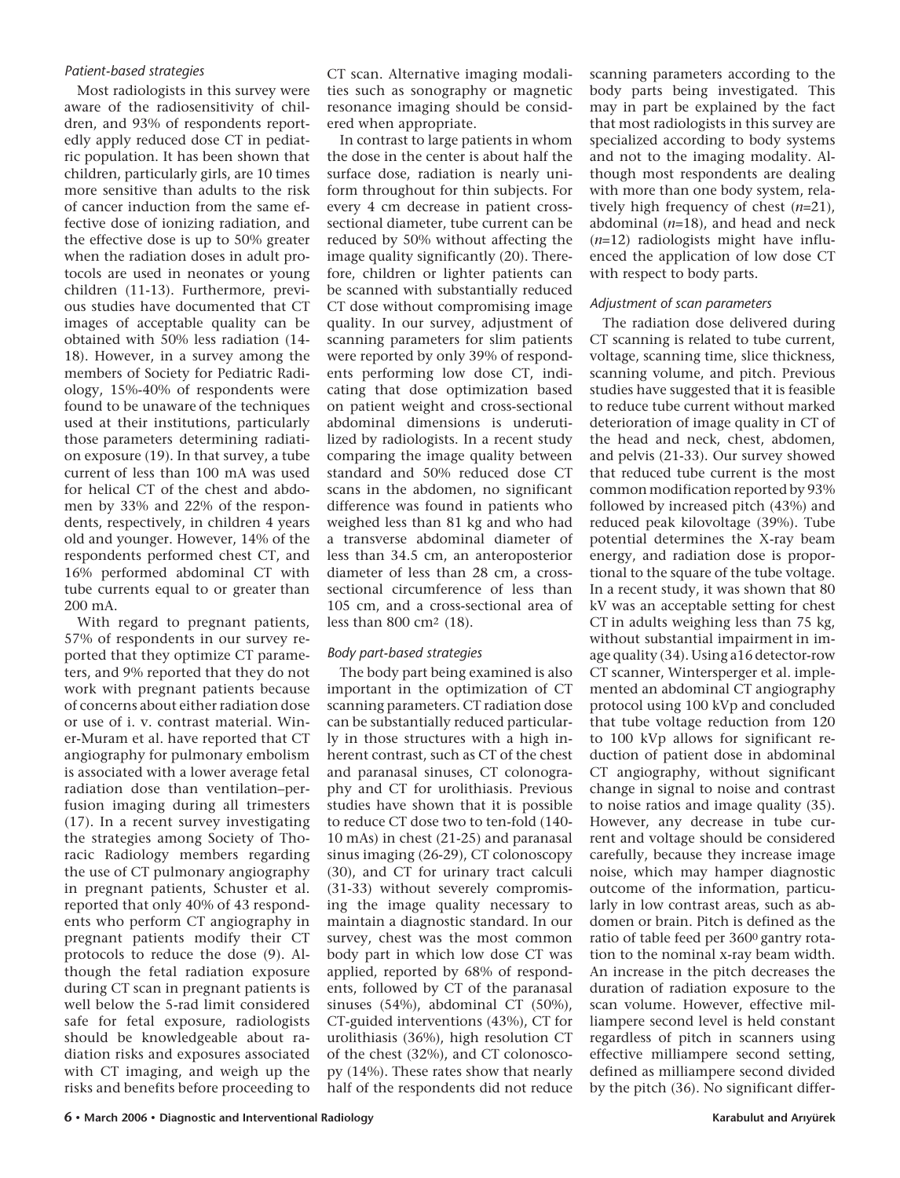## *Patient-based strategies*

Most radiologists in this survey were aware of the radiosensitivity of children, and 93% of respondents reportedly apply reduced dose CT in pediatric population. It has been shown that children, particularly girls, are 10 times more sensitive than adults to the risk of cancer induction from the same effective dose of ionizing radiation, and the effective dose is up to 50% greater when the radiation doses in adult protocols are used in neonates or young children (11-13). Furthermore, previous studies have documented that CT images of acceptable quality can be obtained with 50% less radiation (14- 18). However, in a survey among the members of Society for Pediatric Radiology, 15%-40% of respondents were found to be unaware of the techniques used at their institutions, particularly those parameters determining radiation exposure (19). In that survey, a tube current of less than 100 mA was used for helical CT of the chest and abdomen by 33% and 22% of the respondents, respectively, in children 4 years old and younger. However, 14% of the respondents performed chest CT, and 16% performed abdominal CT with tube currents equal to or greater than 200 mA.

With regard to pregnant patients, 57% of respondents in our survey reported that they optimize CT parameters, and 9% reported that they do not work with pregnant patients because of concerns about either radiation dose or use of i. v. contrast material. Winer-Muram et al. have reported that CT angiography for pulmonary embolism is associated with a lower average fetal radiation dose than ventilation–perfusion imaging during all trimesters (17). In a recent survey investigating the strategies among Society of Thoracic Radiology members regarding the use of CT pulmonary angiography in pregnant patients, Schuster et al. reported that only 40% of 43 respondents who perform CT angiography in pregnant patients modify their CT protocols to reduce the dose (9). Although the fetal radiation exposure during CT scan in pregnant patients is well below the 5-rad limit considered safe for fetal exposure, radiologists should be knowledgeable about radiation risks and exposures associated with CT imaging, and weigh up the risks and benefits before proceeding to

CT scan. Alternative imaging modalities such as sonography or magnetic resonance imaging should be considered when appropriate.

In contrast to large patients in whom the dose in the center is about half the surface dose, radiation is nearly uniform throughout for thin subjects. For every 4 cm decrease in patient crosssectional diameter, tube current can be reduced by 50% without affecting the image quality significantly (20). Therefore, children or lighter patients can be scanned with substantially reduced CT dose without compromising image quality. In our survey, adjustment of scanning parameters for slim patients were reported by only 39% of respondents performing low dose CT, indicating that dose optimization based on patient weight and cross-sectional abdominal dimensions is underutilized by radiologists. In a recent study comparing the image quality between standard and 50% reduced dose CT scans in the abdomen, no significant difference was found in patients who weighed less than 81 kg and who had a transverse abdominal diameter of less than 34.5 cm, an anteroposterior diameter of less than 28 cm, a crosssectional circumference of less than 105 cm, and a cross-sectional area of less than 800 cm2 (18).

## *Body part-based strategies*

The body part being examined is also important in the optimization of CT scanning parameters. CT radiation dose can be substantially reduced particularly in those structures with a high inherent contrast, such as CT of the chest and paranasal sinuses, CT colonography and CT for urolithiasis. Previous studies have shown that it is possible to reduce CT dose two to ten-fold (140- 10 mAs) in chest (21-25) and paranasal sinus imaging (26-29), CT colonoscopy (30), and CT for urinary tract calculi (31-33) without severely compromising the image quality necessary to maintain a diagnostic standard. In our survey, chest was the most common body part in which low dose CT was applied, reported by 68% of respondents, followed by CT of the paranasal sinuses (54%), abdominal CT (50%), CT-guided interventions (43%), CT for urolithiasis (36%), high resolution CT of the chest (32%), and CT colonoscopy (14%). These rates show that nearly half of the respondents did not reduce

scanning parameters according to the body parts being investigated. This may in part be explained by the fact that most radiologists in this survey are specialized according to body systems and not to the imaging modality. Although most respondents are dealing with more than one body system, relatively high frequency of chest (*n*=21), abdominal (*n*=18), and head and neck (*n*=12) radiologists might have influenced the application of low dose CT with respect to body parts.

## *Adjustment of scan parameters*

The radiation dose delivered during CT scanning is related to tube current, voltage, scanning time, slice thickness, scanning volume, and pitch. Previous studies have suggested that it is feasible to reduce tube current without marked deterioration of image quality in CT of the head and neck, chest, abdomen, and pelvis (21-33). Our survey showed that reduced tube current is the most common modification reported by 93% followed by increased pitch (43%) and reduced peak kilovoltage (39%). Tube potential determines the X-ray beam energy, and radiation dose is proportional to the square of the tube voltage. In a recent study, it was shown that 80 kV was an acceptable setting for chest CT in adults weighing less than 75 kg, without substantial impairment in image quality (34). Using a16 detector-row CT scanner, Wintersperger et al. implemented an abdominal CT angiography protocol using 100 kVp and concluded that tube voltage reduction from 120 to 100 kVp allows for significant reduction of patient dose in abdominal CT angiography, without significant change in signal to noise and contrast to noise ratios and image quality (35). However, any decrease in tube current and voltage should be considered carefully, because they increase image noise, which may hamper diagnostic outcome of the information, particularly in low contrast areas, such as abdomen or brain. Pitch is defined as the ratio of table feed per 3600 gantry rotation to the nominal x-ray beam width. An increase in the pitch decreases the duration of radiation exposure to the scan volume. However, effective milliampere second level is held constant regardless of pitch in scanners using effective milliampere second setting, defined as milliampere second divided by the pitch (36). No significant differ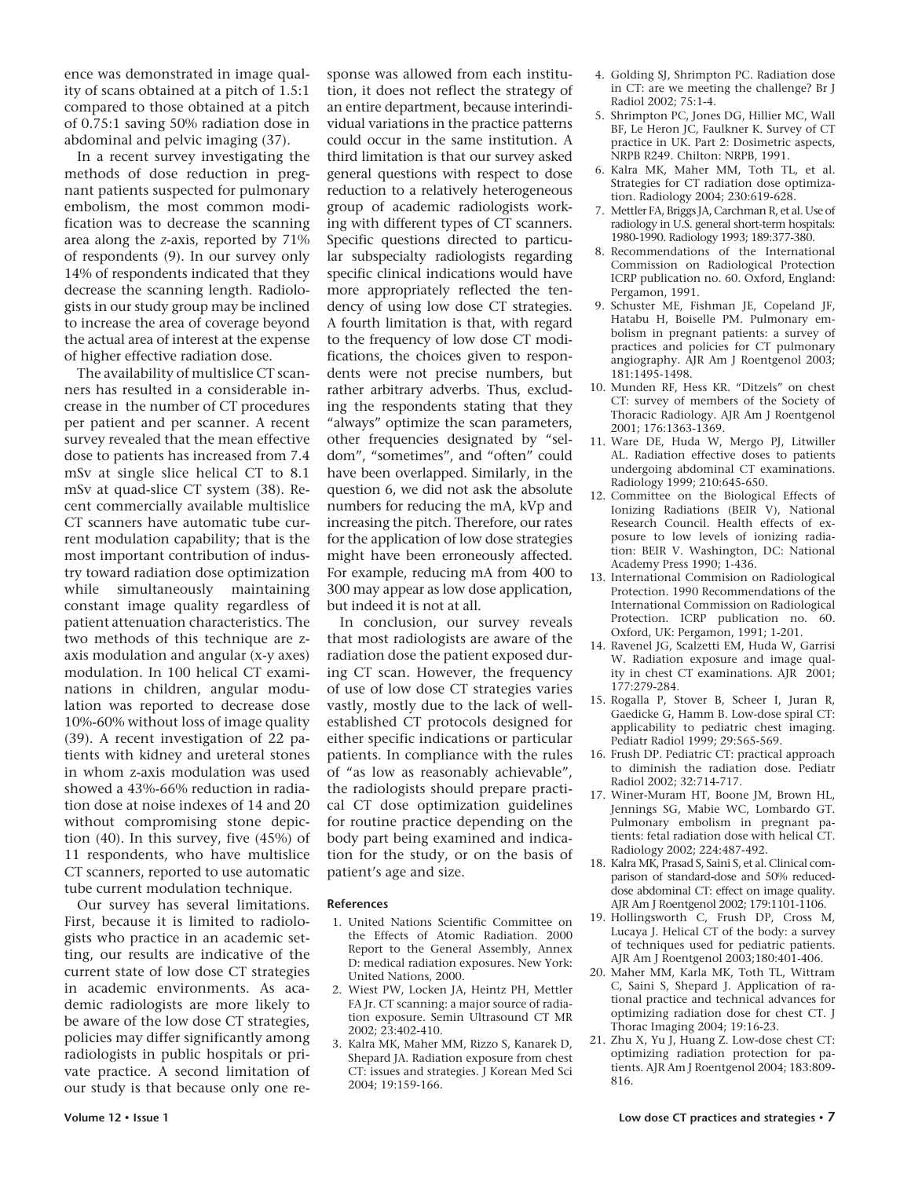ence was demonstrated in image quality of scans obtained at a pitch of 1.5:1 compared to those obtained at a pitch of 0.75:1 saving 50% radiation dose in abdominal and pelvic imaging (37).

In a recent survey investigating the methods of dose reduction in pregnant patients suspected for pulmonary embolism, the most common modification was to decrease the scanning area along the *z*-axis, reported by 71% of respondents (9). In our survey only 14% of respondents indicated that they decrease the scanning length. Radiologists in our study group may be inclined to increase the area of coverage beyond the actual area of interest at the expense of higher effective radiation dose.

The availability of multislice CT scanners has resulted in a considerable increase in the number of CT procedures per patient and per scanner. A recent survey revealed that the mean effective dose to patients has increased from 7.4 mSv at single slice helical CT to 8.1 mSv at quad-slice CT system (38). Recent commercially available multislice CT scanners have automatic tube current modulation capability; that is the most important contribution of industry toward radiation dose optimization while simultaneously maintaining constant image quality regardless of patient attenuation characteristics. The two methods of this technique are zaxis modulation and angular (x-y axes) modulation. In 100 helical CT examinations in children, angular modulation was reported to decrease dose 10%-60% without loss of image quality (39). A recent investigation of 22 patients with kidney and ureteral stones in whom z-axis modulation was used showed a 43%-66% reduction in radiation dose at noise indexes of 14 and 20 without compromising stone depiction (40). In this survey, five (45%) of 11 respondents, who have multislice CT scanners, reported to use automatic tube current modulation technique.

Our survey has several limitations. First, because it is limited to radiologists who practice in an academic setting, our results are indicative of the current state of low dose CT strategies in academic environments. As academic radiologists are more likely to be aware of the low dose CT strategies, policies may differ significantly among radiologists in public hospitals or private practice. A second limitation of our study is that because only one response was allowed from each institution, it does not reflect the strategy of an entire department, because interindividual variations in the practice patterns could occur in the same institution. A third limitation is that our survey asked general questions with respect to dose reduction to a relatively heterogeneous group of academic radiologists working with different types of CT scanners. Specific questions directed to particular subspecialty radiologists regarding specific clinical indications would have more appropriately reflected the tendency of using low dose CT strategies. A fourth limitation is that, with regard to the frequency of low dose CT modifications, the choices given to respondents were not precise numbers, but rather arbitrary adverbs. Thus, excluding the respondents stating that they "always" optimize the scan parameters, other frequencies designated by "seldom", "sometimes", and "often" could have been overlapped. Similarly, in the question 6, we did not ask the absolute numbers for reducing the mA, kVp and increasing the pitch. Therefore, our rates for the application of low dose strategies might have been erroneously affected. For example, reducing mA from 400 to 300 may appear as low dose application, but indeed it is not at all.

In conclusion, our survey reveals that most radiologists are aware of the radiation dose the patient exposed during CT scan. However, the frequency of use of low dose CT strategies varies vastly, mostly due to the lack of wellestablished CT protocols designed for either specific indications or particular patients. In compliance with the rules of "as low as reasonably achievable", the radiologists should prepare practical CT dose optimization guidelines for routine practice depending on the body part being examined and indication for the study, or on the basis of patient's age and size.

#### **References**

- 1. United Nations Scientific Committee on the Effects of Atomic Radiation. 2000 Report to the General Assembly, Annex D: medical radiation exposures. New York: United Nations, 2000.
- 2. Wiest PW, Locken JA, Heintz PH, Mettler FA Jr. CT scanning: a major source of radiation exposure. Semin Ultrasound CT MR 2002; 23:402-410.
- 3. Kalra MK, Maher MM, Rizzo S, Kanarek D, Shepard JA. Radiation exposure from chest CT: issues and strategies. J Korean Med Sci 2004; 19:159-166.
- 4. Golding SJ, Shrimpton PC. Radiation dose in CT: are we meeting the challenge? Br J Radiol 2002; 75:1-4.
- 5. Shrimpton PC, Jones DG, Hillier MC, Wall BF, Le Heron JC, Faulkner K. Survey of CT practice in UK. Part 2: Dosimetric aspects, NRPB R249. Chilton: NRPB, 1991.
- 6. Kalra MK, Maher MM, Toth TL, et al. Strategies for CT radiation dose optimization. Radiology 2004; 230:619-628.
- 7. Mettler FA, Briggs JA, Carchman R, et al. Use of radiology in U.S. general short-term hospitals: 1980-1990. Radiology 1993; 189:377-380.
- 8. Recommendations of the International Commission on Radiological Protection ICRP publication no. 60. Oxford, England: Pergamon, 1991.
- 9. Schuster ME, Fishman JE, Copeland JF, Hatabu H, Boiselle PM. Pulmonary embolism in pregnant patients: a survey of practices and policies for CT pulmonary angiography. AJR Am J Roentgenol 2003; 181:1495-1498.
- 10. Munden RF, Hess KR. "Ditzels" on chest CT: survey of members of the Society of Thoracic Radiology. AJR Am J Roentgenol 2001; 176:1363-1369.
- 11. Ware DE, Huda W, Mergo PJ, Litwiller AL. Radiation effective doses to patients undergoing abdominal CT examinations. Radiology 1999; 210:645-650.
- 12. Committee on the Biological Effects of Ionizing Radiations (BEIR V), National Research Council. Health effects of exposure to low levels of ionizing radiation: BEIR V. Washington, DC: National Academy Press 1990; 1-436.
- 13. International Commision on Radiological Protection. 1990 Recommendations of the International Commission on Radiological Protection*.* ICRP publication no. 60. Oxford, UK: Pergamon, 1991; 1-201.
- 14. Ravenel JG, Scalzetti EM, Huda W, Garrisi W. Radiation exposure and image quality in chest CT examinations. AJR 2001; 177:279-284.
- 15. Rogalla P, Stover B, Scheer I, Juran R, Gaedicke G, Hamm B. Low-dose spiral CT: applicability to pediatric chest imaging. Pediatr Radiol 1999; 29:565-569.
- 16. Frush DP. Pediatric CT: practical approach to diminish the radiation dose. Pediatr Radiol 2002; 32:714-717.
- 17. Winer-Muram HT, Boone JM, Brown HL, Jennings SG, Mabie WC, Lombardo GT. Pulmonary embolism in pregnant patients: fetal radiation dose with helical CT. Radiology 2002; 224:487-492.
- 18. Kalra MK, Prasad S, Saini S, et al. Clinical comparison of standard-dose and 50% reduceddose abdominal CT: effect on image quality. AJR Am J Roentgenol 2002; 179:1101-1106.
- 19. Hollingsworth C, Frush DP, Cross M, Lucaya J. Helical CT of the body: a survey of techniques used for pediatric patients. AJR Am J Roentgenol 2003;180:401-406.
- 20. Maher MM, Karla MK, Toth TL, Wittram C, Saini S, Shepard J. Application of rational practice and technical advances for optimizing radiation dose for chest CT. J Thorac Imaging 2004; 19:16-23.
- 21. Zhu X, Yu J, Huang Z. Low-dose chest CT: optimizing radiation protection for patients. AJR Am J Roentgenol 2004; 183:809- 816.